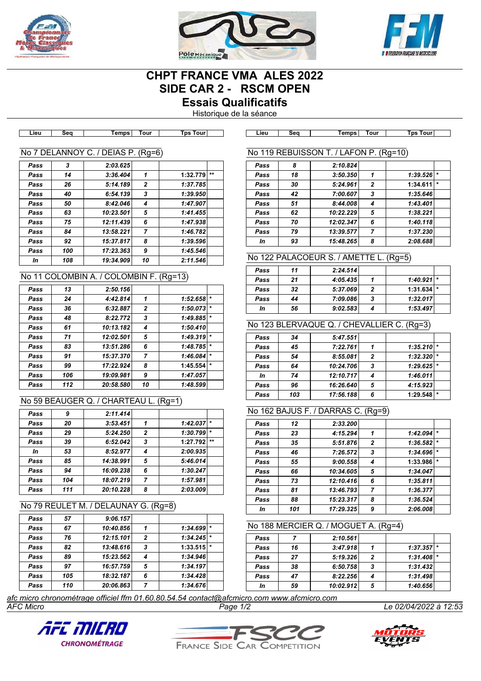





# **CHPT FRANCE VMA ALES 2022 SIDE CAR 2 - RSCM OPEN Essais Qualificatifs**

Historique de la séance

| Lieu             | Seq | Temps I        | Tour     | Tps Tourl | Lieu             | Sea | Temps      | Tour | Tps Tourl |  |
|------------------|-----|----------------|----------|-----------|------------------|-----|------------|------|-----------|--|
|                  |     |                |          |           |                  |     |            |      |           |  |
| No 7 DELANNOY C. |     | <b>DEIAS P</b> | $(Ra=6)$ |           | No 119 REBUISSON |     | ' LAFON P. |      | $(Rq=10)$ |  |

| Pass | 3   | 2:03.625  |    |          |       |
|------|-----|-----------|----|----------|-------|
| Pass | 14  | 3:36.404  | 1  | 1:32.779 | $***$ |
| Pass | 26  | 5:14.189  | 2  | 1:37.785 |       |
| Pass | 40  | 6:54.139  | 3  | 1:39.950 |       |
| Pass | 50  | 8:42.046  | 4  | 1:47.907 |       |
| Pass | 63  | 10:23.501 | 5  | 1:41.455 |       |
| Pass | 75  | 12:11.439 | 6  | 1:47.938 |       |
| Pass | 84  | 13:58.221 | 7  | 1:46.782 |       |
| Pass | 92  | 15:37.817 | 8  | 1:39.596 |       |
| Pass | 100 | 17:23.363 | 9  | 1:45.546 |       |
| In   | 108 | 19:34.909 | 10 | 2:11.546 |       |

# No 11 COLOMBIN A. / COLOMBIN F. (Rg=13)

| Pass | 13  | 2:50.156  |                |          |         |
|------|-----|-----------|----------------|----------|---------|
| Pass | 24  | 4:42.814  | 1              | 1:52.658 | $\star$ |
| Pass | 36  | 6:32.887  | $\overline{2}$ | 1:50.073 | $\star$ |
| Pass | 48  | 8:22.772  | 3              | 1:49.885 | $\star$ |
| Pass | 61  | 10:13.182 | 4              | 1:50.410 |         |
| Pass | 71  | 12:02.501 | 5              | 1:49.319 | $\star$ |
| Pass | 83  | 13:51.286 | 6              | 1:48.785 | $\star$ |
| Pass | 91  | 15:37.370 | $\overline{7}$ | 1:46.084 | $\star$ |
| Pass | 99  | 17:22.924 | 8              | 1:45.554 | $\star$ |
| Pass | 106 | 19:09.981 | 9              | 1:47.057 |         |
| Pass | 112 | 20:58.580 | 10             | 1:48.599 |         |

#### No 59 BEAUGER Q. / CHARTEAU L. (Rg=1)

| Pass | 9   | 2:11.414  |                |          |         |
|------|-----|-----------|----------------|----------|---------|
| Pass | 20  | 3:53.451  | 1              | 1:42.037 | $\star$ |
| Pass | 29  | 5:24.250  | $\overline{2}$ | 1:30.799 | $\star$ |
| Pass | 39  | 6:52.042  | 3              | 1:27.792 | $***$   |
| In   | 53  | 8:52.977  | 4              | 2:00.935 |         |
| Pass | 85  | 14:38.991 | 5              | 5:46.014 |         |
| Pass | 94  | 16:09.238 | 6              | 1:30.247 |         |
| Pass | 104 | 18:07.219 | 7              | 1:57.981 |         |
| Pass | 111 | 20:10.228 | 8              | 2:03.009 |         |
|      |     |           |                |          |         |

# No 79 REULET M. / DELAUNAY G. (Rg=8)

| Pass | 57  | 9:06.157  |                |          |         |
|------|-----|-----------|----------------|----------|---------|
| Pass | 67  | 10:40.856 |                | 1:34.699 | $\star$ |
| Pass | 76  | 12:15.101 | $\overline{2}$ | 1:34.245 | $\star$ |
| Pass | 82  | 13:48.616 | 3              | 1:33.515 | $\star$ |
| Pass | 89  | 15:23.562 | 4              | 1:34.946 |         |
| Pass | 97  | 16:57.759 | 5              | 1:34.197 |         |
| Pass | 105 | 18:32.187 | 6              | 1:34.428 |         |
| Pass | 110 | 20:06.863 | 7              | 1:34.676 |         |

#### No 119 REBUISSON T. / LAFON P. (Rg=10) *Pass 8 2:10.824 Pass 18 3:50.350 1 1:39.526 \* Pass 30 5:24.961 2* **1:34.611** *\* Pass 42 7:00.607 3 1:35.646 Pass 51 8:44.008 4 1:43.401 Pass 62 10:22.229 5 1:38.221 Pass 70 12:02.347 6 1:40.118 Pass 79 13:39.577 7 1:37.230*

*In 93 15:48.265 8 2:08.688*

# No 122 PALACOEUR S. / AMETTE L. (Rg=5)

| Pass | 11 | 2:24.514 |   |                |  |
|------|----|----------|---|----------------|--|
| Pass | 21 | 4:05.435 |   | $1:40.921$ *   |  |
| Pass | 32 | 5:37.069 | 2 | $1:31.634$ $*$ |  |
| Pass | 44 | 7:09.086 | 3 | 1:32.017       |  |
| In   | 56 | 9:02.583 |   | 1:53.497       |  |

# No 123 BLERVAQUE Q. / CHEVALLIER C. (Rg=3)

| Pass | 34  | 5:47.551  |                |                         |  |
|------|-----|-----------|----------------|-------------------------|--|
| Pass | 45  | 7:22.761  |                | 1:35.210                |  |
| Pass | 54  | 8:55.081  | $\overline{2}$ | 1:32.320                |  |
| Pass | 64  | 10:24.706 | 3              | $1:29.625$ <sup>*</sup> |  |
| In   | 74  | 12:10.717 |                | 1:46.011                |  |
| Pass | 96  | 16:26.640 | 5              | 4:15.923                |  |
| Pass | 103 | 17:56.188 | 6              | 1:29.548                |  |

# No 162 BAJUS F. / DARRAS C. (Rg=9)

|      |     |           | ັ              |          |         |
|------|-----|-----------|----------------|----------|---------|
| Pass | 12  | 2:33.200  |                |          |         |
| Pass | 23  | 4:15.294  | 1              | 1:42.094 | $\star$ |
| Pass | 35  | 5:51.876  | $\mathbf{2}$   | 1:36.582 | $\star$ |
| Pass | 46  | 7:26.572  | 3              | 1:34.696 | $\star$ |
| Pass | 55  | 9:00.558  | 4              | 1:33.986 | $\star$ |
| Pass | 66  | 10:34.605 | 5              | 1:34.047 |         |
| Pass | 73  | 12:10.416 | 6              | 1:35.811 |         |
| Pass | 81  | 13:46.793 | $\overline{7}$ | 1:36.377 |         |
| Pass | 88  | 15:23.317 | 8              | 1:36.524 |         |
| In   | 101 | 17:29.325 | 9              | 2:06.008 |         |

### No 188 MERCIER Q. / MOGUET A. (Rg=4)

| Pass |    | 2:10.561  |   |              |  |
|------|----|-----------|---|--------------|--|
| Pass | 16 | 3:47.918  |   | $1:37.357$ * |  |
| Pass | 27 | 5:19.326  | 2 | $1:31.408$ * |  |
| Pass | 38 | 6:50.758  | 3 | 1:31.432     |  |
| Pass | 47 | 8:22.256  |   | 1:31.498     |  |
| In   | 59 | 10:02.912 | 5 | 1:40.656     |  |

*AFC Micro Page 1/2 Le 02/04/2022 à 12:53 afc micro chronométrage officiel ffm 01.60.80.54.54 contact@afcmicro.com www.afcmicro.com*